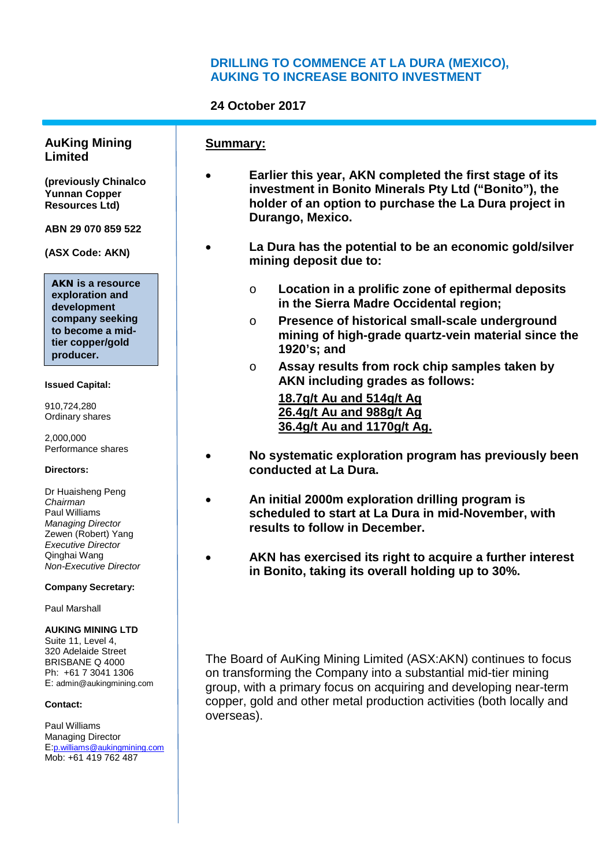## **DRILLING TO COMMENCE AT LA DURA (MEXICO), AUKING TO INCREASE BONITO INVESTMENT**

## **24 October 2017**

**Summary:**

#### **AuKing Mining Limited**

**(previously Chinalco Yunnan Copper Resources Ltd)** 

**ABN 29 070 859 522**

**(ASX Code: AKN)**

**AKN is a resource exploration and development company seeking to become a midtier copper/gold producer.**

#### **Issued Capital:**

910,724,280 Ordinary shares

2,000,000 Performance shares

#### **Directors:**

Dr Huaisheng Peng *Chairman* Paul Williams *Managing Director* Zewen (Robert) Yang *Executive Director* Qinghai Wang *Non-Executive Director*

#### **Company Secretary:**

Paul Marshall

#### **AUKING MINING LTD**

Suite 11, Level 4, 320 Adelaide Street BRISBANE Q 4000 Ph: +61 7 3041 1306 E: admin@aukingmining.com

#### **Contact:**

Paul Williams Managing Director E:p.williams@aukingmining.com Mob: +61 419 762 487

- **Earlier this year, AKN completed the first stage of its investment in Bonito Minerals Pty Ltd ("Bonito"), the holder of an option to purchase the La Dura project in Durango, Mexico.**
- **La Dura has the potential to be an economic gold/silver mining deposit due to:**
	- o **Location in a prolific zone of epithermal deposits in the Sierra Madre Occidental region;**
	- o **Presence of historical small-scale underground mining of high-grade quartz-vein material since the 1920's; and**
	- o **Assay results from rock chip samples taken by AKN including grades as follows: 18.7g/t Au and 514g/t Ag**

**26.4g/t Au and 988g/t Ag 36.4g/t Au and 1170g/t Ag.**

- **No systematic exploration program has previously been conducted at La Dura.**
- **An initial 2000m exploration drilling program is scheduled to start at La Dura in mid-November, with results to follow in December.**
- **AKN has exercised its right to acquire a further interest in Bonito, taking its overall holding up to 30%.**

The Board of AuKing Mining Limited (ASX:AKN) continues to focus on transforming the Company into a substantial mid-tier mining group, with a primary focus on acquiring and developing near-term copper, gold and other metal production activities (both locally and overseas).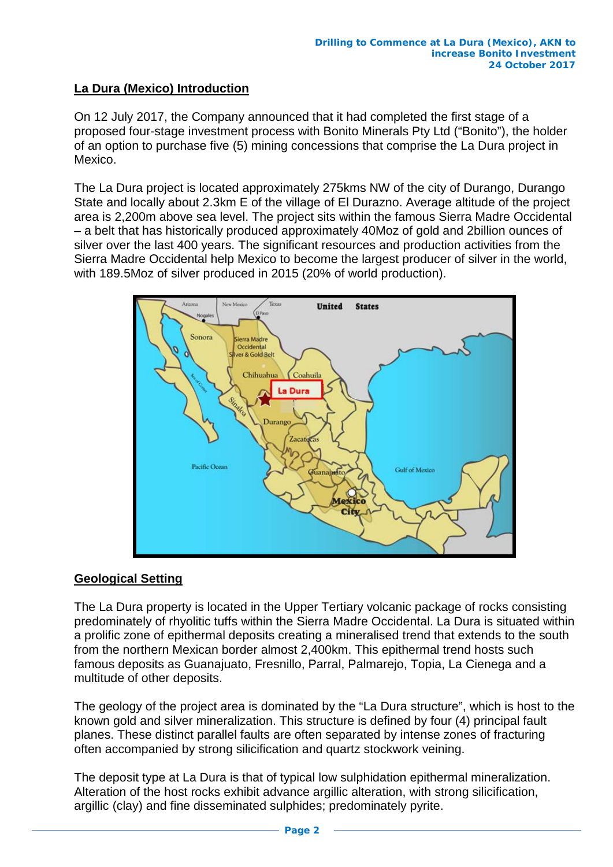# **La Dura (Mexico) Introduction**

On 12 July 2017, the Company announced that it had completed the first stage of a proposed four-stage investment process with Bonito Minerals Pty Ltd ("Bonito"), the holder of an option to purchase five (5) mining concessions that comprise the La Dura project in Mexico.

The La Dura project is located approximately 275kms NW of the city of Durango, Durango State and locally about 2.3km E of the village of El Durazno. Average altitude of the project area is 2,200m above sea level. The project sits within the famous Sierra Madre Occidental – a belt that has historically produced approximately 40Moz of gold and 2billion ounces of silver over the last 400 years. The significant resources and production activities from the Sierra Madre Occidental help Mexico to become the largest producer of silver in the world, with 189.5Moz of silver produced in 2015 (20% of world production).



## **Geological Setting**

The La Dura property is located in the Upper Tertiary volcanic package of rocks consisting predominately of rhyolitic tuffs within the Sierra Madre Occidental. La Dura is situated within a prolific zone of epithermal deposits creating a mineralised trend that extends to the south from the northern Mexican border almost 2,400km. This epithermal trend hosts such famous deposits as Guanajuato, Fresnillo, Parral, Palmarejo, Topia, La Cienega and a multitude of other deposits.

The geology of the project area is dominated by the "La Dura structure", which is host to the known gold and silver mineralization. This structure is defined by four (4) principal fault planes. These distinct parallel faults are often separated by intense zones of fracturing often accompanied by strong silicification and quartz stockwork veining.

The deposit type at La Dura is that of typical low sulphidation epithermal mineralization. Alteration of the host rocks exhibit advance argillic alteration, with strong silicification, argillic (clay) and fine disseminated sulphides; predominately pyrite.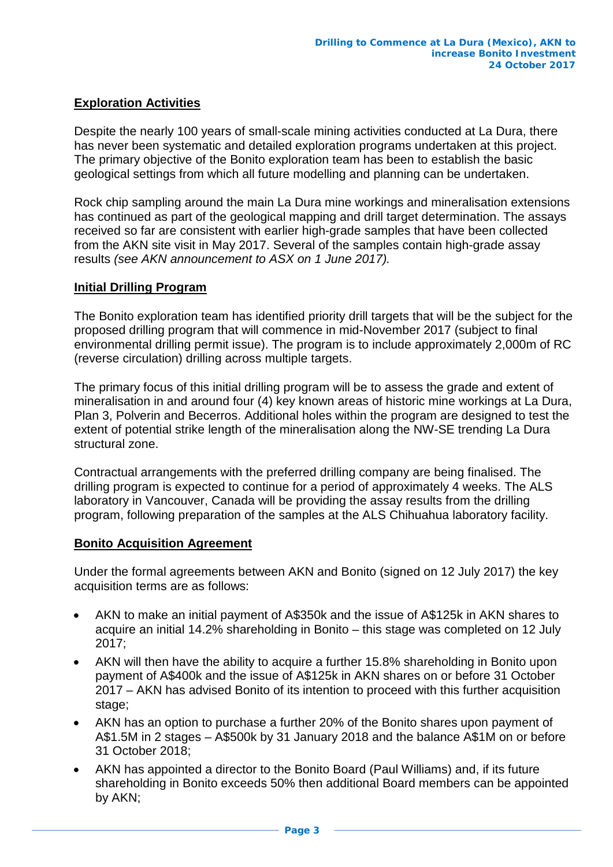## **Exploration Activities**

Despite the nearly 100 years of small-scale mining activities conducted at La Dura, there has never been systematic and detailed exploration programs undertaken at this project. The primary objective of the Bonito exploration team has been to establish the basic geological settings from which all future modelling and planning can be undertaken.

Rock chip sampling around the main La Dura mine workings and mineralisation extensions has continued as part of the geological mapping and drill target determination. The assays received so far are consistent with earlier high-grade samples that have been collected from the AKN site visit in May 2017. Several of the samples contain high-grade assay results *(see AKN announcement to ASX on 1 June 2017).* 

### **Initial Drilling Program**

The Bonito exploration team has identified priority drill targets that will be the subject for the proposed drilling program that will commence in mid-November 2017 (subject to final environmental drilling permit issue). The program is to include approximately 2,000m of RC (reverse circulation) drilling across multiple targets.

The primary focus of this initial drilling program will be to assess the grade and extent of mineralisation in and around four (4) key known areas of historic mine workings at La Dura, Plan 3, Polverin and Becerros. Additional holes within the program are designed to test the extent of potential strike length of the mineralisation along the NW-SE trending La Dura structural zone.

Contractual arrangements with the preferred drilling company are being finalised. The drilling program is expected to continue for a period of approximately 4 weeks. The ALS laboratory in Vancouver, Canada will be providing the assay results from the drilling program, following preparation of the samples at the ALS Chihuahua laboratory facility.

### **Bonito Acquisition Agreement**

Under the formal agreements between AKN and Bonito (signed on 12 July 2017) the key acquisition terms are as follows:

- AKN to make an initial payment of A\$350k and the issue of A\$125k in AKN shares to acquire an initial 14.2% shareholding in Bonito – this stage was completed on 12 July 2017;
- AKN will then have the ability to acquire a further 15.8% shareholding in Bonito upon payment of A\$400k and the issue of A\$125k in AKN shares on or before 31 October 2017 – AKN has advised Bonito of its intention to proceed with this further acquisition stage:
- AKN has an option to purchase a further 20% of the Bonito shares upon payment of A\$1.5M in 2 stages – A\$500k by 31 January 2018 and the balance A\$1M on or before 31 October 2018;
- AKN has appointed a director to the Bonito Board (Paul Williams) and, if its future shareholding in Bonito exceeds 50% then additional Board members can be appointed by AKN;